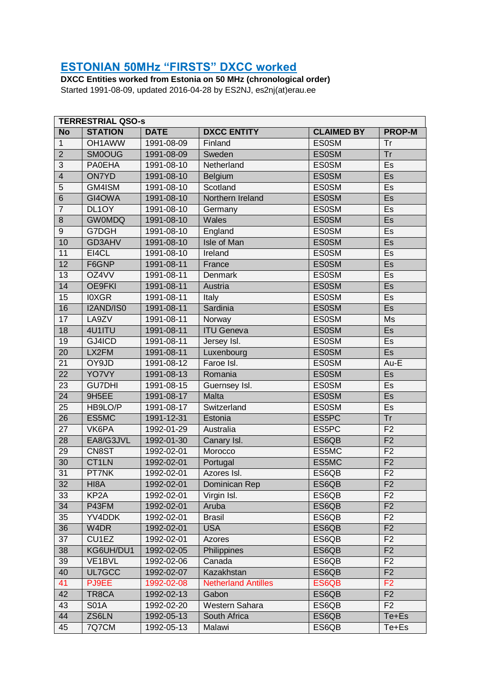## **ESTONIAN 50MHz "FIRSTS" DXCC worked**

DXCC Entities worked from Estonia on 50 MHz (chronological order) Started 1991-08-09, updated 2016-04-28 by ES2NJ, es2nj(at)erau.ee

| <b>TERRESTRIAL QSO-s</b> |                    |             |                            |                   |                |
|--------------------------|--------------------|-------------|----------------------------|-------------------|----------------|
| N <sub>o</sub>           | <b>STATION</b>     | <b>DATE</b> | <b>DXCC ENTITY</b>         | <b>CLAIMED BY</b> | <b>PROP-M</b>  |
| $\mathbf{1}$             | OH1AWW             | 1991-08-09  | Finland                    | <b>ES0SM</b>      | Tr             |
| $\overline{2}$           | <b>SM0OUG</b>      | 1991-08-09  | Sweden                     | <b>ES0SM</b>      | Tr             |
| $\overline{3}$           | <b>PA0EHA</b>      | 1991-08-10  | Netherland                 | <b>ES0SM</b>      | Es             |
| $\overline{4}$           | <b>ON7YD</b>       | 1991-08-10  | Belgium                    | <b>ES0SM</b>      | Es             |
| $\overline{5}$           | GM4ISM             | 1991-08-10  | Scotland                   | <b>ES0SM</b>      | Es             |
| $\overline{6}$           | GI4OWA             | 1991-08-10  | Northern Ireland           | <b>ES0SM</b>      | E <sub>S</sub> |
| $\overline{7}$           | DL <sub>1</sub> OY | 1991-08-10  | Germany                    | <b>ES0SM</b>      | Es             |
| $\overline{8}$           | <b>GW0MDQ</b>      | 1991-08-10  | Wales                      | <b>ES0SM</b>      | Es             |
| $\overline{9}$           | G7DGH              | 1991-08-10  | England                    | <b>ES0SM</b>      | Es             |
| 10                       | GD3AHV             | 1991-08-10  | <b>Isle of Man</b>         | <b>ES0SM</b>      | Es             |
| 11                       | EI4CL              | 1991-08-10  | Ireland                    | <b>ES0SM</b>      | Es             |
| 12                       | F6GNP              | 1991-08-11  | France                     | <b>ES0SM</b>      | Es             |
| 13                       | OZ4VV              | 1991-08-11  | Denmark                    | <b>ES0SM</b>      | Es             |
| 14                       | <b>OE9FKI</b>      | 1991-08-11  | Austria                    | <b>ES0SM</b>      | Es             |
| 15                       | <b>IOXGR</b>       | 1991-08-11  | Italy                      | <b>ES0SM</b>      | Es             |
| 16                       | I2AND/IS0          | 1991-08-11  | Sardinia                   | <b>ES0SM</b>      | Es             |
| 17                       | LA9ZV              | 1991-08-11  | Norway                     | <b>ES0SM</b>      | Ms             |
| 18                       | 4U1ITU             | 1991-08-11  | <b>ITU Geneva</b>          | <b>ES0SM</b>      | Es             |
| 19                       | GJ4ICD             | 1991-08-11  | Jersey Isl.                | <b>ES0SM</b>      | Es             |
| $\overline{20}$          | LX2FM              | 1991-08-11  | Luxenbourg                 | <b>ES0SM</b>      | E <sub>S</sub> |
| $\overline{21}$          | OY9JD              | 1991-08-12  | Faroe Isl.                 | <b>ES0SM</b>      | Au-E           |
| $\overline{22}$          | YO7VY              | 1991-08-13  | Romania                    | <b>ES0SM</b>      | Es             |
| 23                       | <b>GU7DHI</b>      | 1991-08-15  | Guernsey Isl.              | <b>ES0SM</b>      | Es             |
| 24                       | 9H5EE              | 1991-08-17  | Malta                      | <b>ES0SM</b>      | Es             |
| 25                       | HB9LO/P            | 1991-08-17  | Switzerland                | <b>ES0SM</b>      | Es             |
| $\overline{26}$          | ES5MC              | 1991-12-31  | Estonia                    | ES5PC             | Tr             |
| 27                       | VK6PA              | 1992-01-29  | Australia                  | ES5PC             | F <sub>2</sub> |
| 28                       | EA8/G3JVL          | 1992-01-30  | Canary Isl.                | ES6QB             | F <sub>2</sub> |
| 29                       | CN8ST              | 1992-02-01  | Morocco                    | ES5MC             | F <sub>2</sub> |
| 30                       | CT <sub>1</sub> LN | 1992-02-01  | Portugal                   | ES5MC             | F <sub>2</sub> |
| 31                       | PT7NK              | 1992-02-01  | Azores Isl.                | ES6QB             | F <sub>2</sub> |
| 32                       | HI8A               | 1992-02-01  | Dominican Rep              | ES6QB             | F <sub>2</sub> |
| 33                       | KP <sub>2</sub> A  | 1992-02-01  | Virgin Isl.                | ES6QB             | F <sub>2</sub> |
| 34                       | P43FM              | 1992-02-01  | Aruba                      | ES6QB             | F2             |
| 35                       | YV4DDK             | 1992-02-01  | <b>Brasil</b>              | ES6QB             | F <sub>2</sub> |
| 36                       | W4DR               | 1992-02-01  | <b>USA</b>                 | ES6QB             | F2             |
| 37                       | CU1EZ              | 1992-02-01  | Azores                     | ES6QB             | F <sub>2</sub> |
| 38                       | KG6UH/DU1          | 1992-02-05  | Philippines                | ES6QB             | F <sub>2</sub> |
| 39                       | VE1BVL             | 1992-02-06  | Canada                     | ES6QB             | F <sub>2</sub> |
| 40                       | UL7GCC             | 1992-02-07  | Kazakhstan                 | ES6QB             | F2             |
| 41                       | PJ9EE              | 1992-02-08  | <b>Netherland Antilles</b> | ES6QB             | F <sub>2</sub> |
| 42                       | TR8CA              | 1992-02-13  | Gabon                      | ES6QB             | F <sub>2</sub> |
| 43                       | <b>S01A</b>        | 1992-02-20  | Western Sahara             | ES6QB             | F <sub>2</sub> |
| 44                       | ZS6LN              | 1992-05-13  | South Africa               | ES6QB             | Te+Es          |
| 45                       | 7Q7CM              | 1992-05-13  | Malawi                     | ES6QB             | Te+Es          |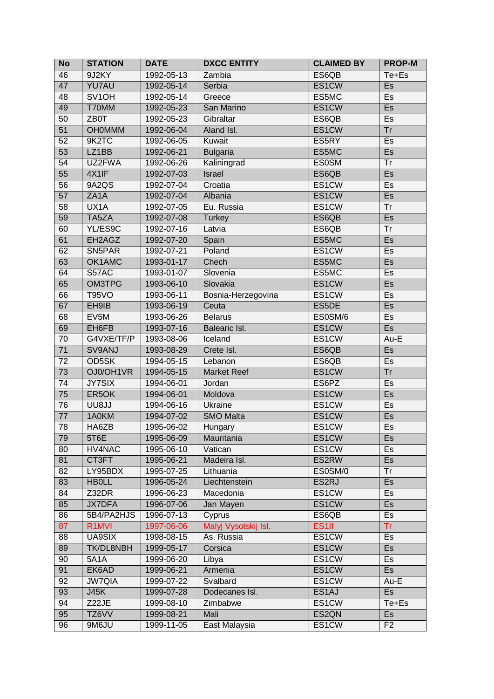| <b>No</b>       | <b>STATION</b>      | <b>DATE</b> | <b>DXCC ENTITY</b>   | <b>CLAIMED BY</b> | <b>PROP-M</b>            |
|-----------------|---------------------|-------------|----------------------|-------------------|--------------------------|
| 46              | 9J2KY               | 1992-05-13  | Zambia               | ES6QB             | Te+Es                    |
| 47              | <b>YU7AU</b>        | 1992-05-14  | Serbia               | ES1CW             | Es                       |
| 48              | SV <sub>1</sub> OH  | 1992-05-14  | Greece               | ES5MC             | Es                       |
| 49              | T70MM               | 1992-05-23  | San Marino           | ES1CW             | Es                       |
| 50              | ZB0T                | 1992-05-23  | Gibraltar            | ES6QB             | Es                       |
| 51              | <b>OH0MMM</b>       | 1992-06-04  | Aland Isl.           | ES1CW             | Tr                       |
| $\overline{52}$ | 9K2TC               | 1992-06-05  | Kuwait               | ES5RY             | Es                       |
| $\overline{53}$ | LZ <sub>1</sub> BB  | 1992-06-21  | <b>Bulgaria</b>      | ES5MC             | $\overline{\mathsf{Es}}$ |
| 54              | UZ2FWA              | 1992-06-26  | Kaliningrad          | <b>ES0SM</b>      | Tr                       |
| 55              | 4X1IF               | 1992-07-03  | <b>Israel</b>        | ES6QB             | Es                       |
| 56              | 9A2QS               | 1992-07-04  | Croatia              | ES1CW             | Es                       |
| $\overline{57}$ | ZA <sub>1</sub> A   | 1992-07-04  | Albania              | ES1CW             | Es                       |
| 58              | UX1A                | 1992-07-05  | Eu. Russia           | ES1CW             | Tr                       |
| 59              | TA5ZA               | 1992-07-08  | <b>Turkey</b>        | ES6QB             | Es                       |
| 60              | YL/ES9C             | 1992-07-16  | Latvia               | ES6QB             | <b>Tr</b>                |
| 61              | EH2AGZ              | 1992-07-20  | Spain                | ES5MC             | Es                       |
| 62              | SN <sub>5</sub> PAR | 1992-07-21  | Poland               | ES1CW             | Es                       |
| 63              | OK1AMC              | 1993-01-17  | Chech                | ES5MC             | Es                       |
| 64              | S57AC               | 1993-01-07  | Slovenia             | ES5MC             | Es                       |
| 65              | <b>OM3TPG</b>       | 1993-06-10  | Slovakia             | ES1CW             | Es                       |
| 66              | <b>T95VO</b>        | 1993-06-11  | Bosnia-Herzegovina   | ES1CW             | Es                       |
| $\overline{67}$ | EH9IB               | 1993-06-19  | Ceuta                | ES5DE             | $\overline{\mathsf{Es}}$ |
| 68              | EV5M                | 1993-06-26  | <b>Belarus</b>       | ES0SM/6           | Es                       |
| 69              | EH6FB               | 1993-07-16  | Balearic Isl.        | ES1CW             | Es                       |
| 70              | G4VXE/TF/P          | 1993-08-06  | Iceland              | ES1CW             | Au-E                     |
| $\overline{71}$ | SV9ANJ              | 1993-08-29  | Crete Isl.           | ES6QB             | Es                       |
| 72              | OD5SK               | 1994-05-15  | Lebanon              | ES6QB             | Es                       |
| 73              | OJ0/OH1VR           | 1994-05-15  | <b>Market Reef</b>   | ES1CW             | Tr                       |
| $\overline{74}$ | <b>JY7SIX</b>       | 1994-06-01  | Jordan               | ES6PZ             | Es                       |
| 75              | ER5OK               | 1994-06-01  | Moldova              | ES1CW             | Es                       |
| 76              | UU8JJ               | 1994-06-16  | <b>Ukraine</b>       | ES1CW             | Es                       |
| $\overline{77}$ | 1A0KM               | 1994-07-02  | <b>SMO Malta</b>     | ES1CW             | $\overline{\mathsf{Es}}$ |
| 78              | HA6ZB               | 1995-06-02  | Hungary              | ES1CW             | <b>Es</b>                |
| 79              | 5T6E                | 1995-06-09  | Mauritania           | ES1CW             | Es                       |
| 80              | HV4NAC              | 1995-06-10  | Vatican              | ES1CW             | Es                       |
| 81              | CT3FT               | 1995-06-21  | Madeira Isl.         | ES2RW             | Es                       |
| 82              | LY95BDX             | 1995-07-25  | Lithuania            | ES0SM/0           | Tr                       |
| 83              | <b>HBOLL</b>        | 1996-05-24  | Liechtenstein        | ES2RJ             | Es                       |
| 84              | Z32DR               | 1996-06-23  | Macedonia            | ES1CW             | Es                       |
| 85              | <b>JX7DFA</b>       | 1996-07-06  | Jan Mayen            | ES1CW             | Es                       |
| 86              | 5B4/PA2HJS          | 1996-07-13  | Cyprus               | ES6QB             | Es                       |
| 87              | R <sub>1</sub> MVI  | 1997-06-06  | Malyj Vysotskij Isl. | ES <sub>1II</sub> | <b>Tr</b>                |
| 88              | UA9SIX              | 1998-08-15  | As. Russia           | ES1CW             | Es                       |
| 89              | TK/DL8NBH           | 1999-05-17  | Corsica              | ES1CW             | <b>Es</b>                |
| 90              | <b>5A1A</b>         | 1999-06-20  | Libya                | ES1CW             | Es                       |
| 91              | EK6AD               | 1999-06-21  | Armenia              | ES1CW             | Es                       |
| 92              | <b>JW7QIA</b>       | 1999-07-22  | Svalbard             | ES1CW             | Au-E                     |
| 93              | J45K                | 1999-07-28  | Dodecanes Isl.       | ES1AJ             | Es                       |
| 94              | Z22JE               | 1999-08-10  | Zimbabwe             | ES1CW             | Te+Es                    |
| 95              | TZ6VV               | 1999-08-21  | Mali                 | ES2QN             | <b>Es</b>                |
| 96              | 9M6JU               | 1999-11-05  | East Malaysia        | ES1CW             | F <sub>2</sub>           |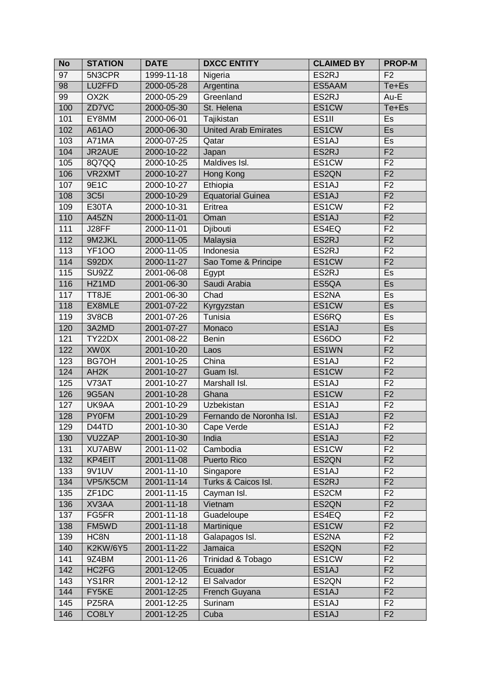| <b>No</b>        | <b>STATION</b>     | <b>DATE</b>      | <b>DXCC ENTITY</b>          | <b>CLAIMED BY</b>  | <b>PROP-M</b>            |
|------------------|--------------------|------------------|-----------------------------|--------------------|--------------------------|
| 97               | 5N3CPR             | 1999-11-18       | Nigeria                     | ES2RJ              | F <sub>2</sub>           |
| $\overline{98}$  | LU2FFD             | 2000-05-28       | Argentina                   | ES5AAM             | Te+Es                    |
| 99               | OX <sub>2</sub> K  | 2000-05-29       | Greenland                   | ES2RJ              | Au-E                     |
| 100              | ZD7VC              | 2000-05-30       | St. Helena                  | ES1CW              | Te+Es                    |
| 101              | EY8MM              | 2000-06-01       | Tajikistan                  | ES <sub>1II</sub>  | Es                       |
| 102              | A61AO              | 2000-06-30       | <b>United Arab Emirates</b> | ES1CW              | Es                       |
| 103              | A71MA              | 2000-07-25       | Qatar                       | ES <sub>1</sub> AJ | Es                       |
| 104              | JR2AUE             | 2000-10-22       | Japan                       | ES2RJ              | F <sub>2</sub>           |
| 105              | 8Q7QQ              | 2000-10-25       | Maldives Isl.               | ES1CW              | F <sub>2</sub>           |
| 106              | VR2XMT             | 2000-10-27       | Hong Kong                   | ES <sub>2</sub> QN | F <sub>2</sub>           |
| 107              | 9E1C               | 2000-10-27       | Ethiopia                    | ES1AJ              | F <sub>2</sub>           |
| 108              | <b>3C5I</b>        | 2000-10-29       | <b>Equatorial Guinea</b>    | ES <sub>1</sub> AJ | F <sub>2</sub>           |
| 109              | <b>E30TA</b>       | 2000-10-31       | Eritrea                     | ES1CW              | F <sub>2</sub>           |
| $\overline{110}$ | A45ZN              | 2000-11-01       | Oman                        | ES <sub>1</sub> AJ | F <sub>2</sub>           |
| 111              | J28FF              | 2000-11-01       | Djibouti                    | ES4EQ              | F <sub>2</sub>           |
| $\overline{112}$ | 9M2JKL             | 2000-11-05       | Malaysia                    | ES2RJ              | F <sub>2</sub>           |
| 113              | <b>YF100</b>       | 2000-11-05       | Indonesia                   | ES2RJ              | F <sub>2</sub>           |
| 114              | S92DX              | 2000-11-27       | Sao Tome & Principe         | ES1CW              | F <sub>2</sub>           |
| 115              | SU9ZZ              | 2001-06-08       | Egypt                       | ES2RJ              | Es                       |
| 116              | HZ1MD              | 2001-06-30       | Saudi Arabia                | ES5QA              | Es                       |
| $\overline{117}$ | TT8JE              | 2001-06-30       | Chad                        | ES2NA              | Es                       |
| 118              | EX8MLE             | 2001-07-22       | Kyrgyzstan                  | ES1CW              | $\overline{\mathsf{Es}}$ |
| 119              | 3V8CB              | 2001-07-26       | Tunisia                     | ES6RQ              | Es                       |
| 120              | 3A2MD              | 2001-07-27       | Monaco                      | ES <sub>1</sub> AJ | Es                       |
| 121              | TY22DX             | 2001-08-22       | <b>Benin</b>                | ES6DO              | F <sub>2</sub>           |
| 122              | <b>XW0X</b>        | 2001-10-20       | Laos                        | ES1WN              | F <sub>2</sub>           |
| 123              | BG7OH              | 2001-10-25       | China                       | ES <sub>1</sub> AJ | F <sub>2</sub>           |
| 124              | AH <sub>2</sub> K  | 2001-10-27       | Guam Isl.                   | ES1CW              | F <sub>2</sub>           |
| 125              | V73AT              | 2001-10-27       | Marshall Isl.               | ES <sub>1</sub> AJ | F <sub>2</sub>           |
| 126              | 9G5AN              | 2001-10-28       | Ghana                       | ES1CW              | F <sub>2</sub>           |
| 127              | UK9AA              | 2001-10-29       | Uzbekistan                  | ES <sub>1</sub> AJ | F <sub>2</sub>           |
| 128              | <b>PY0FM</b>       | 2001-10-29       | Fernando de Noronha Isl.    | ES1AJ              | F <sub>2</sub>           |
| 129              | D44TD              | 2001-10-30       | Cape Verde                  | ES1AJ              | F <sub>2</sub>           |
| 130              | VU2ZAP             | 2001-10-30       | India                       | ES1AJ              | F <sub>2</sub>           |
| 131              | <b>XU7ABW</b>      | 2001-11-02       | Cambodia                    | ES1CW              | F <sub>2</sub>           |
| 132              | KP4EIT             | 2001-11-08       | Puerto Rico                 | ES2QN              | F <sub>2</sub>           |
| 133              | 9V1UV              | 2001-11-10       | Singapore                   | ES <sub>1</sub> AJ | F <sub>2</sub>           |
| 134              | VP5/K5CM           | $2001 - 11 - 14$ | Turks & Caicos Isl.         | ES2RJ              | F <sub>2</sub>           |
| 135              | ZF <sub>1</sub> DC | 2001-11-15       | Cayman Isl.                 | ES2CM              | F <sub>2</sub>           |
| 136              | XV3AA              | $2001 - 11 - 18$ | Vietnam                     | ES2QN              | F <sub>2</sub>           |
| 137              | FG5FR              | 2001-11-18       | Guadeloupe                  | ES4EQ              | F <sub>2</sub>           |
| 138              | FM5WD              | 2001-11-18       | Martinique                  | ES1CW              | F <sub>2</sub>           |
| 139              | HC8N               | 2001-11-18       | Galapagos Isl.              | ES2NA              | F <sub>2</sub>           |
| 140              | K2KW/6Y5           | 2001-11-22       | Jamaica                     | ES2QN              | F <sub>2</sub>           |
| 141              | 9Z4BM              | 2001-11-26       | Trinidad & Tobago           | ES1CW              | F <sub>2</sub>           |
| 142              | HC2FG              | 2001-12-05       | Ecuador                     | ES1AJ              | F2                       |
| 143              | <b>YS1RR</b>       | 2001-12-12       | El Salvador                 | ES2QN              | F <sub>2</sub>           |
| 144              | FY5KE              | 2001-12-25       | French Guyana               | ES1AJ              | F <sub>2</sub>           |
| 145              | PZ5RA              | 2001-12-25       | Surinam                     | ES1AJ              | F <sub>2</sub>           |
| 146              | CO8LY              | 2001-12-25       | Cuba                        | ES1AJ              | F2                       |